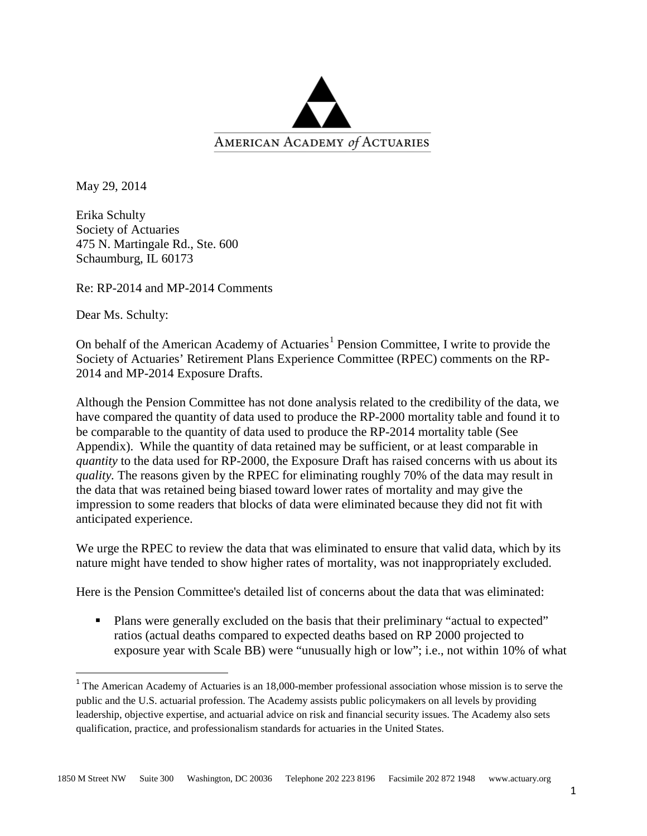

May 29, 2014

Erika Schulty Society of Actuaries 475 N. Martingale Rd., Ste. 600 Schaumburg, IL 60173

Re: RP-2014 and MP-2014 Comments

Dear Ms. Schulty:

On behalf of the American Academy of Actuaries<sup>[1](#page-0-0)</sup> Pension Committee, I write to provide the Society of Actuaries' Retirement Plans Experience Committee (RPEC) comments on the RP-2014 and MP-2014 Exposure Drafts.

Although the Pension Committee has not done analysis related to the credibility of the data, we have compared the quantity of data used to produce the RP-2000 mortality table and found it to be comparable to the quantity of data used to produce the RP-2014 mortality table (See Appendix). While the quantity of data retained may be sufficient, or at least comparable in *quantity* to the data used for RP-2000, the Exposure Draft has raised concerns with us about its *quality.* The reasons given by the RPEC for eliminating roughly 70% of the data may result in the data that was retained being biased toward lower rates of mortality and may give the impression to some readers that blocks of data were eliminated because they did not fit with anticipated experience.

We urge the RPEC to review the data that was eliminated to ensure that valid data, which by its nature might have tended to show higher rates of mortality, was not inappropriately excluded.

Here is the Pension Committee's detailed list of concerns about the data that was eliminated:

 Plans were generally excluded on the basis that their preliminary "actual to expected" ratios (actual deaths compared to expected deaths based on RP 2000 projected to exposure year with Scale BB) were "unusually high or low"; i.e., not within 10% of what

<span id="page-0-0"></span><sup>&</sup>lt;sup>1</sup> The American Academy of Actuaries is an 18,000-member professional association whose mission is to serve the public and the U.S. actuarial profession. The Academy assists public policymakers on all levels by providing leadership, objective expertise, and actuarial advice on risk and financial security issues. The Academy also sets qualification, practice, and professionalism standards for actuaries in the United States.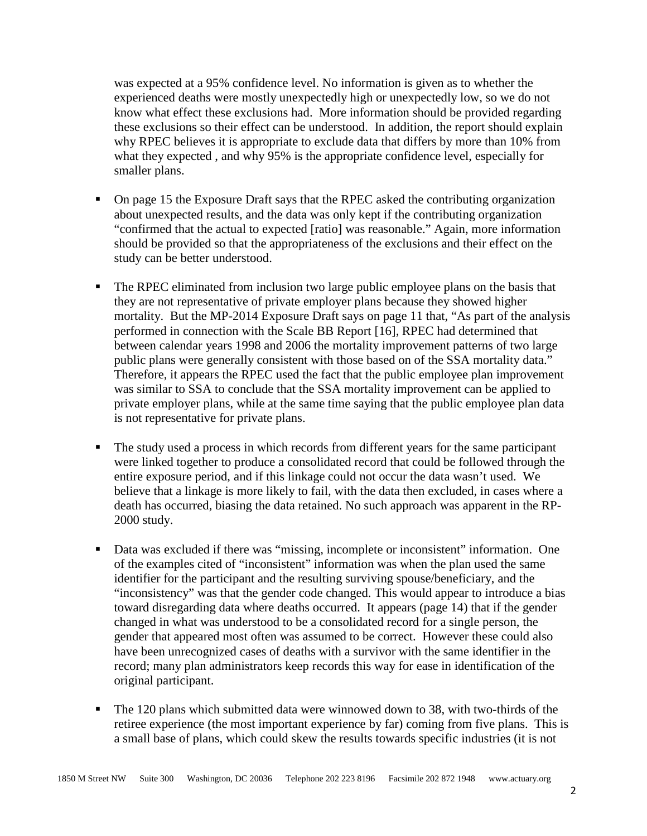was expected at a 95% confidence level. No information is given as to whether the experienced deaths were mostly unexpectedly high or unexpectedly low, so we do not know what effect these exclusions had. More information should be provided regarding these exclusions so their effect can be understood. In addition, the report should explain why RPEC believes it is appropriate to exclude data that differs by more than 10% from what they expected , and why 95% is the appropriate confidence level, especially for smaller plans.

- On page 15 the Exposure Draft says that the RPEC asked the contributing organization about unexpected results, and the data was only kept if the contributing organization "confirmed that the actual to expected [ratio] was reasonable." Again, more information should be provided so that the appropriateness of the exclusions and their effect on the study can be better understood.
- The RPEC eliminated from inclusion two large public employee plans on the basis that they are not representative of private employer plans because they showed higher mortality. But the MP-2014 Exposure Draft says on page 11 that, "As part of the analysis performed in connection with the Scale BB Report [16], RPEC had determined that between calendar years 1998 and 2006 the mortality improvement patterns of two large public plans were generally consistent with those based on of the SSA mortality data." Therefore, it appears the RPEC used the fact that the public employee plan improvement was similar to SSA to conclude that the SSA mortality improvement can be applied to private employer plans, while at the same time saying that the public employee plan data is not representative for private plans.
- The study used a process in which records from different years for the same participant were linked together to produce a consolidated record that could be followed through the entire exposure period, and if this linkage could not occur the data wasn't used. We believe that a linkage is more likely to fail, with the data then excluded, in cases where a death has occurred, biasing the data retained. No such approach was apparent in the RP-2000 study.
- **Data was excluded if there was "missing, incomplete or inconsistent" information. One** of the examples cited of "inconsistent" information was when the plan used the same identifier for the participant and the resulting surviving spouse/beneficiary, and the "inconsistency" was that the gender code changed. This would appear to introduce a bias toward disregarding data where deaths occurred. It appears (page 14) that if the gender changed in what was understood to be a consolidated record for a single person, the gender that appeared most often was assumed to be correct. However these could also have been unrecognized cases of deaths with a survivor with the same identifier in the record; many plan administrators keep records this way for ease in identification of the original participant.
- The 120 plans which submitted data were winnowed down to 38, with two-thirds of the retiree experience (the most important experience by far) coming from five plans. This is a small base of plans, which could skew the results towards specific industries (it is not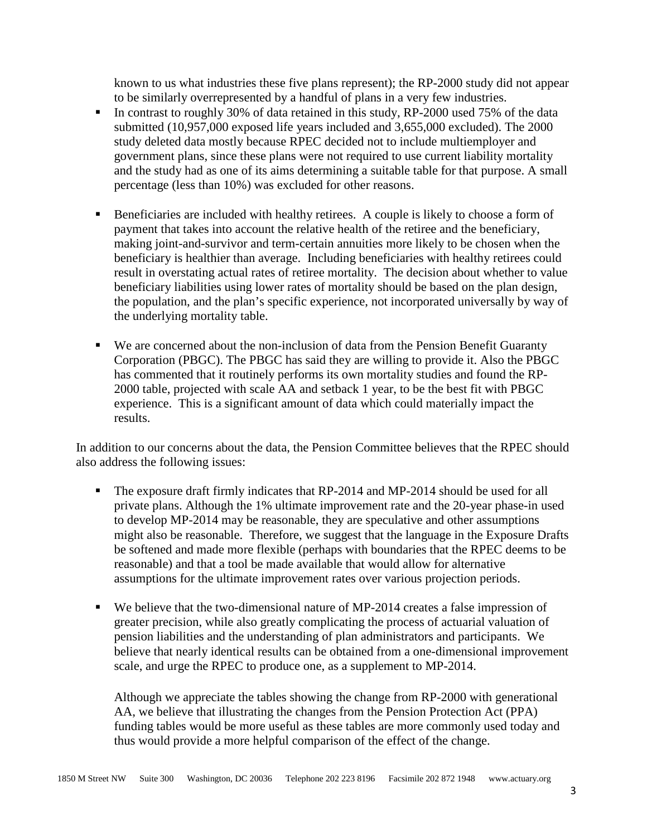known to us what industries these five plans represent); the RP-2000 study did not appear to be similarly overrepresented by a handful of plans in a very few industries.

- In contrast to roughly 30% of data retained in this study, RP-2000 used 75% of the data submitted (10,957,000 exposed life years included and 3,655,000 excluded). The 2000 study deleted data mostly because RPEC decided not to include multiemployer and government plans, since these plans were not required to use current liability mortality and the study had as one of its aims determining a suitable table for that purpose. A small percentage (less than 10%) was excluded for other reasons.
- Beneficiaries are included with healthy retirees. A couple is likely to choose a form of payment that takes into account the relative health of the retiree and the beneficiary, making joint-and-survivor and term-certain annuities more likely to be chosen when the beneficiary is healthier than average. Including beneficiaries with healthy retirees could result in overstating actual rates of retiree mortality. The decision about whether to value beneficiary liabilities using lower rates of mortality should be based on the plan design, the population, and the plan's specific experience, not incorporated universally by way of the underlying mortality table.
- We are concerned about the non-inclusion of data from the Pension Benefit Guaranty Corporation (PBGC). The PBGC has said they are willing to provide it. Also the PBGC has commented that it routinely performs its own mortality studies and found the RP-2000 table, projected with scale AA and setback 1 year, to be the best fit with PBGC experience. This is a significant amount of data which could materially impact the results.

In addition to our concerns about the data, the Pension Committee believes that the RPEC should also address the following issues:

- The exposure draft firmly indicates that RP-2014 and MP-2014 should be used for all private plans. Although the 1% ultimate improvement rate and the 20-year phase-in used to develop MP-2014 may be reasonable, they are speculative and other assumptions might also be reasonable. Therefore, we suggest that the language in the Exposure Drafts be softened and made more flexible (perhaps with boundaries that the RPEC deems to be reasonable) and that a tool be made available that would allow for alternative assumptions for the ultimate improvement rates over various projection periods.
- We believe that the two-dimensional nature of MP-2014 creates a false impression of greater precision, while also greatly complicating the process of actuarial valuation of pension liabilities and the understanding of plan administrators and participants. We believe that nearly identical results can be obtained from a one-dimensional improvement scale, and urge the RPEC to produce one, as a supplement to MP-2014.

Although we appreciate the tables showing the change from RP-2000 with generational AA, we believe that illustrating the changes from the Pension Protection Act (PPA) funding tables would be more useful as these tables are more commonly used today and thus would provide a more helpful comparison of the effect of the change.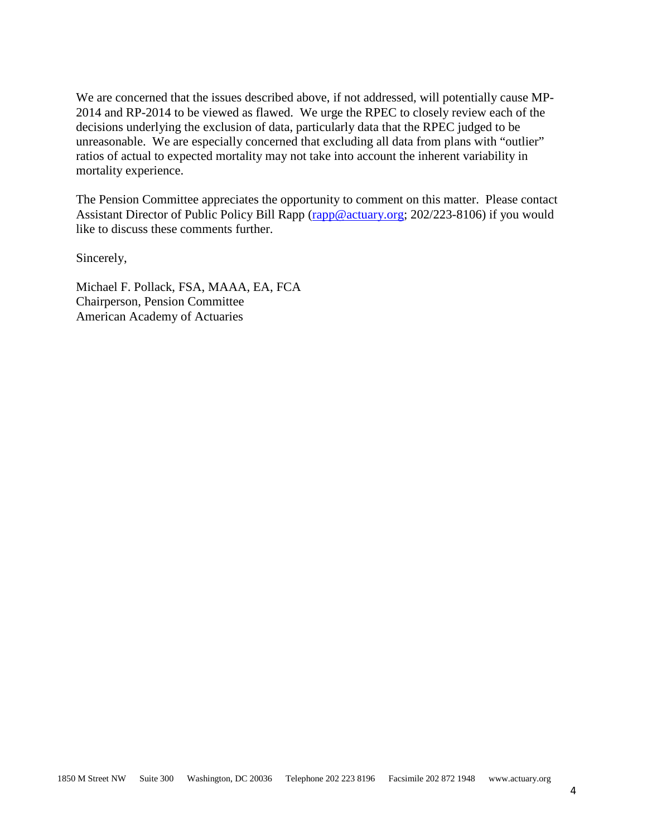We are concerned that the issues described above, if not addressed, will potentially cause MP-2014 and RP-2014 to be viewed as flawed. We urge the RPEC to closely review each of the decisions underlying the exclusion of data, particularly data that the RPEC judged to be unreasonable. We are especially concerned that excluding all data from plans with "outlier" ratios of actual to expected mortality may not take into account the inherent variability in mortality experience.

The Pension Committee appreciates the opportunity to comment on this matter. Please contact Assistant Director of Public Policy Bill Rapp [\(rapp@actuary.org;](mailto:rapp@actuary.org) 202/223-8106) if you would like to discuss these comments further.

Sincerely,

Michael F. Pollack, FSA, MAAA, EA, FCA Chairperson, Pension Committee American Academy of Actuaries